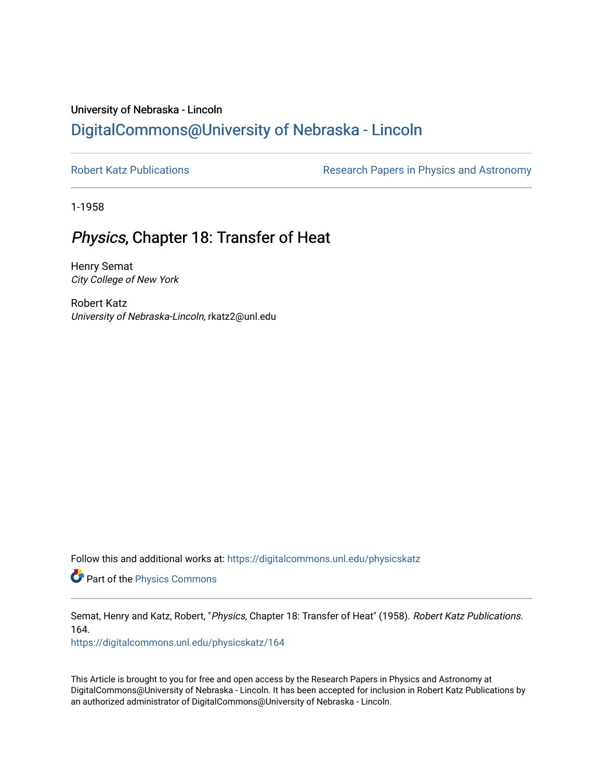# University of Nebraska - Lincoln [DigitalCommons@University of Nebraska - Lincoln](https://digitalcommons.unl.edu/)

[Robert Katz Publications](https://digitalcommons.unl.edu/physicskatz) **Research Papers in Physics and Astronomy** 

1-1958

# Physics, Chapter 18: Transfer of Heat

Henry Semat City College of New York

Robert Katz University of Nebraska-Lincoln, rkatz2@unl.edu

Follow this and additional works at: [https://digitalcommons.unl.edu/physicskatz](https://digitalcommons.unl.edu/physicskatz?utm_source=digitalcommons.unl.edu%2Fphysicskatz%2F164&utm_medium=PDF&utm_campaign=PDFCoverPages)

Part of the [Physics Commons](http://network.bepress.com/hgg/discipline/193?utm_source=digitalcommons.unl.edu%2Fphysicskatz%2F164&utm_medium=PDF&utm_campaign=PDFCoverPages)

Semat, Henry and Katz, Robert, "Physics, Chapter 18: Transfer of Heat" (1958). Robert Katz Publications. 164.

[https://digitalcommons.unl.edu/physicskatz/164](https://digitalcommons.unl.edu/physicskatz/164?utm_source=digitalcommons.unl.edu%2Fphysicskatz%2F164&utm_medium=PDF&utm_campaign=PDFCoverPages)

This Article is brought to you for free and open access by the Research Papers in Physics and Astronomy at DigitalCommons@University of Nebraska - Lincoln. It has been accepted for inclusion in Robert Katz Publications by an authorized administrator of DigitalCommons@University of Nebraska - Lincoln.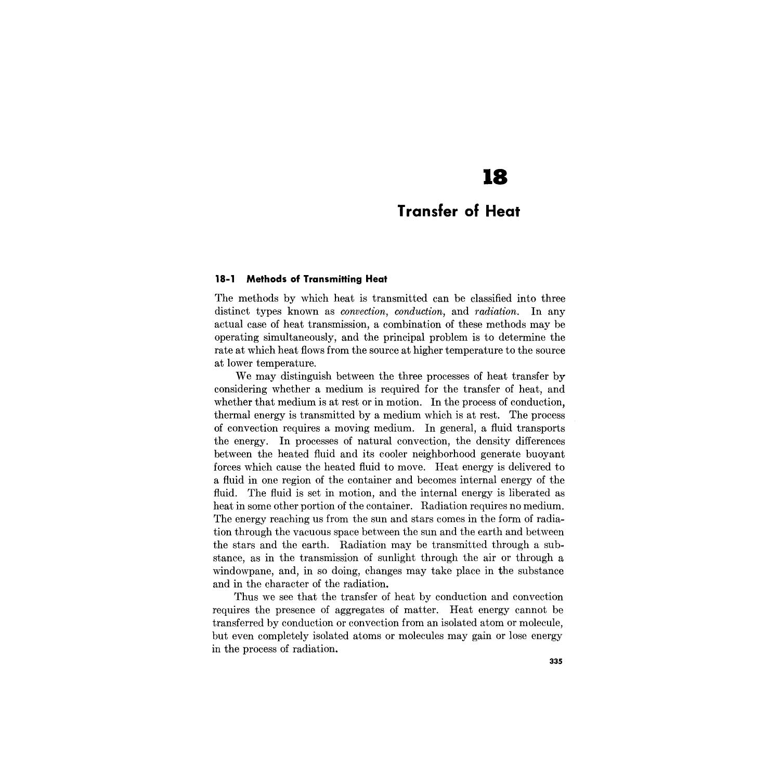# **18**

## **Transfer of Heat**

#### **18-1 Methods of Transmitting Heat**

The methods by which heat is transmitted can be classified into three distinct types known as *convection, conduction,* and *radiation.* **In** any actual case of heat transmission, a combination of these methods may be operating simultaneously, and the principal problem is to determine the rate at which heat flows from the source at higher temperature to the source at lower temperature.

We may distinguish between the three processes of heat transfer by considering whether a medium is required for the transfer of heat, and whether that medium is at rest or in motion. **In** the process of conduction, thermal energy is transmitted by a medium which is at rest. The process of convection requires a moving medium. **In** general, a fluid transports the energy. **In** processes of natural convection, the density differences between the heated fluid and its cooler neighborhood generate buoyant forces which cause the heated fluid to move. Heat energy is delivered to a fluid in one region of the container and becomes internal energy of the fluid. The fluid is set in motion, and the internal energy is liberated as heat in some other portion of the container. Radiation requires no medium. The energy reaching us from the sun and stars comes in the form of radiation through the vacuous space between the sun and the earth and between the stars and the earth. Radiation may be transmitted through a substance, as in the transmission of sunlight through the air or through a windowpane, and, in so doing, changes may take place in the substance and in the character of the radiation.

Thus we see that the transfer of heat by conduction and convection requires the presence of aggregates of matter. Heat energy cannot be transferred by conduction or convection from an isolated atom or molecule, but even completely isolated atoms or molecules may gain or lose energy in the process of radiation.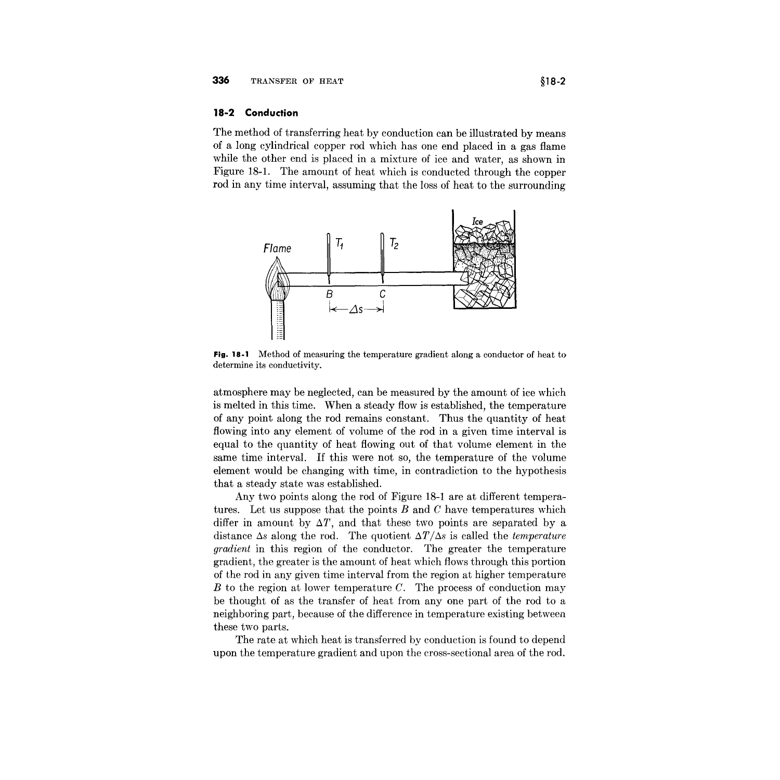#### **18-2 Conduction**

The method of transferring heat by conduction can be illustrated by means of a long cylindrical copper rod which has one end placed in a gas flame while the other end is placed in a mixture of ice and water, as shown in Figure 18-1. The amount of heat which is conducted through the copper rod in any time interval, assuming that the loss of heat to the surrounding



**Fig. 18.1** Method of measuring the temperature gradient along a conductor of heat to determine its conductivity.

atmosphere may be neglected, can be measured by the amount of ice which is melted in this time. When a steady flow is established, the temperature of any point along the rod remains constant. Thus the quantity of heat flowing into any element of volume of the rod in a given time interval is equal to the quantity of heat flowing out of that volume element in the same time interval. If this were not so, the temperature of the volume element would be changing with time, in contradiction to the hypothesis that a steady state was established.

Any two points along the rod of Figure 18-1 are at different temperatures. Let us suppose that the points Band *C* have temperatures which differ in amount by  $\Delta T$ , and that these two points are separated by a distance  $\Delta s$  along the rod. The quotient  $\Delta T/\Delta s$  is called the *temperature gradient* in this region of the conductor. The greater the temperature gradient, the greater is the amount of heat which flows through this portion of the rod in any given time interval from the region at higher temperature *B* to the region at lower temperature *C.* The process of conduction may be thought of as the transfer of heat from anyone part of the rod to a neighboring part, because of the difference in temperature existing between these two parts.

The rate at which heat is transferred by conduction is found to depend upon the temperature gradient and upon the cross-sectional area of the rod.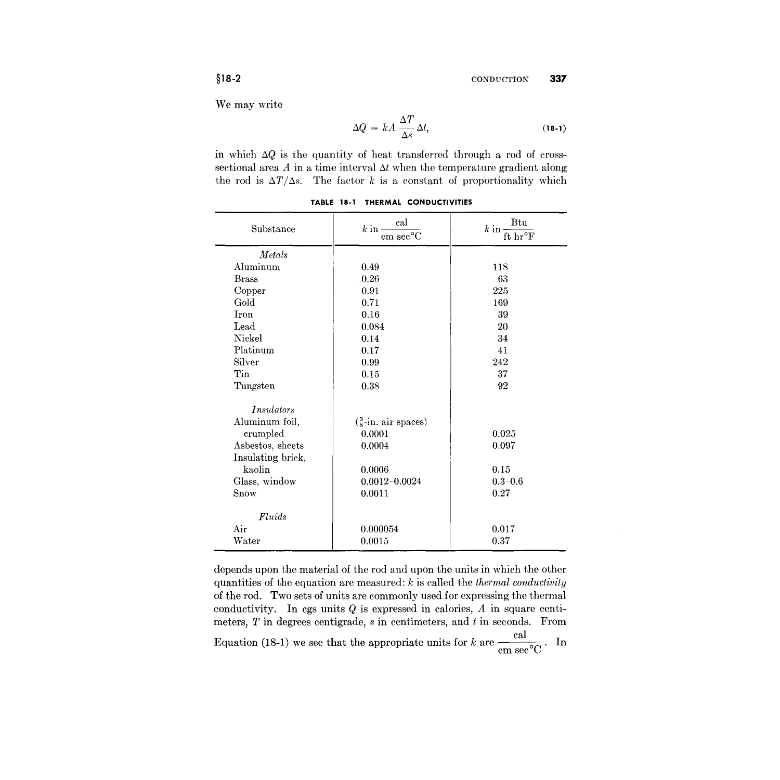We may write

$$
\Delta Q = kA \frac{\Delta T}{\Delta s} \Delta t, \qquad (18-1)
$$

in which  $\Delta Q$  is the quantity of heat transferred through a rod of crosssectional area  $A$  in a time interval  $\Delta t$  when the temperature gradient along the rod is  $\Delta T/\Delta s$ . The factor *k* is a constant of proportionality which

| Substance         | cal<br>$k$ in $\cdot$<br>${\rm cm\ sec^o C}$ | Btu<br>$k$ in -<br>ft hr°F |
|-------------------|----------------------------------------------|----------------------------|
| Metals            |                                              |                            |
| Aluminum          | 0.49                                         | 118                        |
| <b>Brass</b>      | 0.26                                         | 63                         |
| Copper            | 0.91                                         | 225                        |
| Gold              | 0.71                                         | 169                        |
| Iron              | 0.16                                         | 39                         |
| Lead              | 0.084                                        | 20                         |
| Nickel            | 0.14                                         | 34                         |
| Platinum          | 0.17                                         | 41                         |
| Silver            | 0.99                                         | 242                        |
| Tin               | 0.15                                         | 37                         |
| Tungsten          | 0.38                                         | 92                         |
| <i>Insulators</i> |                                              |                            |
| Aluminum foil,    | $\left(\frac{3}{8}$ -in. air spaces)         |                            |
| crumpled          | 0.0001                                       | 0.025                      |
| Asbestos, sheets  | 0.0004                                       | 0.097                      |
| Insulating brick, |                                              |                            |
| kaolin            | 0.0006                                       | 0.15                       |
| Glass, window     | $0.0012 - 0.0024$                            | $0.3 - 0.6$                |
| Snow              | 0.0011                                       | 0.27                       |
| Fluids            |                                              |                            |
| Air               | 0.000054                                     | 0.017                      |
| Water             | 0.0015                                       | 0.37                       |

**TABLE 18-1 THERMAL CONDUCTIVITIES**

depends upon the material of the rod and upon the units in which the other quantities of the equation are measured: *k* is called the *thermal conductivity* of the rod. Two sets of units are commonly used for expressing the thermal conductivity. In cgs units  $Q$  is expressed in calories,  $A$  in square centimeters, *T* in degrees centigrade, *s* in centimeters, and *t* in seconds. From Equation (18-1) we see that the appropriate units for *k* are  $\frac{c}{cm}$  sec<sup>o</sup>C. In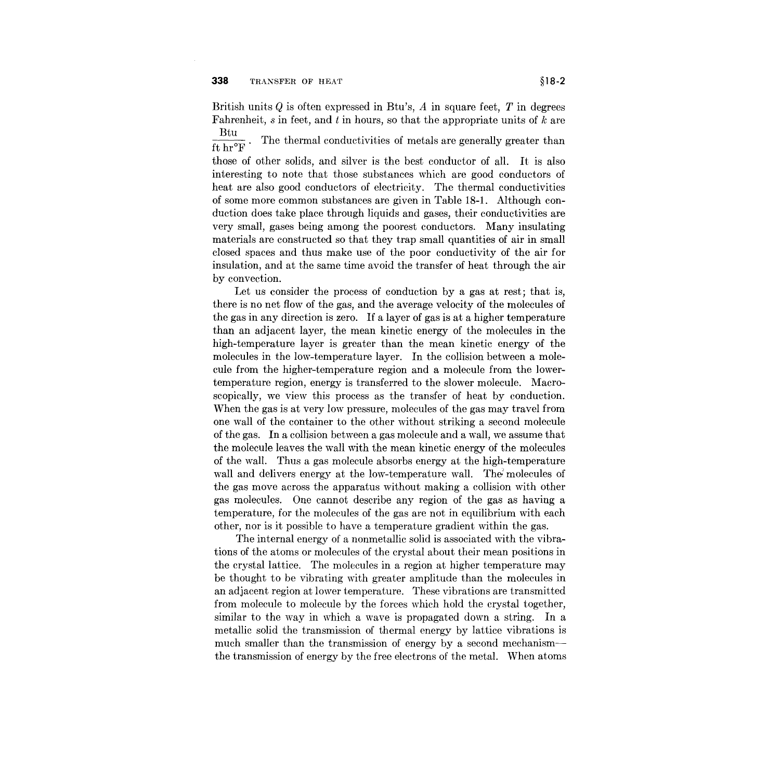British units *Q* is often expressed in Btu's, *A* in square feet, *T* in degrees Fahrenheit, *s* in feet, and t in hours, so that the appropriate units of *k* are

 $\frac{\text{Btu}}{\text{ft hr}^{\circ}\text{F}}$ . The thermal conductivities of metals are generally greater than

those of other solids, and silver is the best conductor of all. It is also interesting to note that those substances which are good conductors of heat are also good conductors of electricity. The thermal conductivities of some more common substances are given in Table 18-1. Although conduction does take place through liquids and gases, their conductivities are very small, gases being among the poorest conductors. Many insulating materials are constructed so that they trap small quantities of air in small closed spaces and thus make use of the poor conductivity of the air for insulation, and at the same time avoid the transfer of heat through the air by convection.

Let us consider the process of conduction by a gas at rest; that is, there is no net flow of the gas, and the average velocity of the molecules of the gas in any direction is zero. If a layer of gas is at a higher temperature than an adjacent layer, the mean kinetic energy of the molecules in the high-temperature layer is greater than the mean kinetic energy of the molecules in the low-temperature layer. In the collision between a molecule from the higher-temperature region and a molecule from the lowertemperature region, energy is transferred to the slower molecule. Macroscopically, we view this process as the transfer of heat by conduction. When the gas is at very low pressure, molecules of the gas may travel from one wall of the container to the other without striking a second molecule of the gas. In a collision between a gas molecule and a wall, we assume that the molecule leaves the wall with the mean kinetic energy of the molecules of the wall. Thus a gas molecule absorbs energy at the high-temperature wall and delivers energy at the low-temperature wall. The molecules of the gas move across the apparatus without making a collision with other gas molecules. One cannot describe any region of the gas as having a temperature, for the molecules of the gas are not in equilibrium with each other, nor is it possible to have a temperature gradient within the gas.

The internal energy of a nonmetallic solid is associated with the vibrations of the atoms or molecules of the crystal about their mean positions in the crystal lattice. The molecules in a region at higher temperature may be thought to be vibrating with greater amplitude than the molecules in an adjacent region at lower temperature. These vibrations are transmitted from molecule to molecule by the forces which hold the crystal together, similar to the way in which a wave is propagated down a string. In a metallic solid the transmission of thermal energy by lattice vibrations is much smaller than the transmission of energy by a second mechanismthe transmission of energy by the free electrons of the metal. When atoms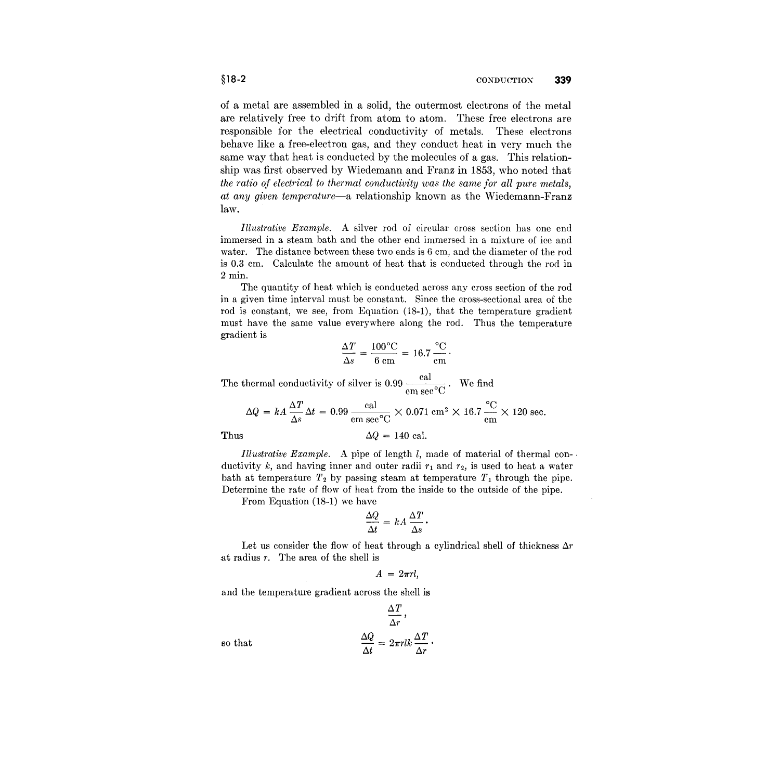of a metal are assembled **in** a solid, the outermost electrons of the metal are relatively free to drift from atom to atom. These free electrons are responsible for the electrical conductivity of metals. These electrons behave like a free-electron gas, and they conduct heat **in** very much the same way that heat is conducted by the molecules of a gas. This relationship was first observed by Wiedemann and Franz **in** 1853, who noted that *the ratio of electrical to thermal conductivity was the same for all pure metals, at any given temperature-a* relationship known as the Wiedemann-Franz law.

*Illustrative Example.* A silver rod of circular cross section has one end immersed in a steam bath and the other end immersed in a mixture of ice and water. The distance between these two ends is 6 cm, and the diameter of the rod is 0.3 cm. Calculate the amount of heat that is conducted through the rod in 2 min.

The quantity of heat which is conducted across any cross section of the rod in a given time interval must be constant. Since the cross-sectional area of the rod is constant, we see, from Equation (18-1), that the temperature gradient must have the same value everywhere along the rod. Thus the temperature gradient is

$$
\frac{\Delta T}{\Delta s} = \frac{100\text{°C}}{6 \text{ cm}} = 16.7 \frac{\text{°C}}{\text{cm}}.
$$

The thermal conductivity of silver is 0.99  $\frac{\text{cal}}{\text{cm sec}^{\circ}\text{C}}$ . We find

$$
\Delta Q = kA \frac{\Delta T}{\Delta s} \Delta t = 0.99 \frac{\text{cal}}{\text{cm sec}^{\circ}\text{C}} \times 0.071 \text{ cm}^2 \times 16.7 \frac{\text{°C}}{\text{cm}} \times 120 \text{ sec.}
$$
  
Thus  $\Delta Q = 140 \text{ cal.}$ 

 $$0$ 

*Illustrative Example.* A pipe of length *I,* made of material of thermal con- . ductivity k, and having inner and outer radii  $r_1$  and  $r_2$ , is used to heat a water bath at temperature  $T_2$  by passing steam at temperature  $T_1$  through the pipe. Determine the rate of flow of heat from the inside to the outside of the pipe.

From Equation (18-1) we have

$$
\frac{\Delta Q}{\Delta t} = kA \frac{\Delta T}{\Delta s}.
$$

Let us consider the flow of heat through a cylindrical shell of thickness  $\Delta r$ at radius r. The area of the shell is

$$
A = 2\pi rl,
$$

and the temperature gradient across the shell is

that 
$$
\frac{\Delta T}{\Delta r},
$$

$$
\frac{\Delta Q}{\Delta t} = 2\pi r l k \frac{\Delta T}{\Delta r}.
$$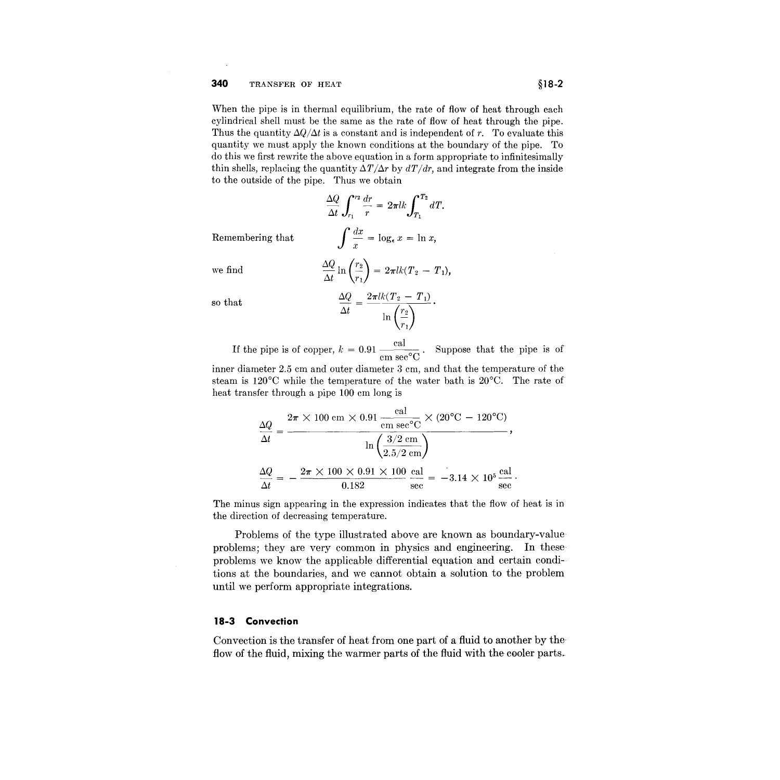When the pipe is in thermal equilibrium, the rate of flow of heat through each cylindrical shell must be the same as the rate of flow of heat through the pipe. Thus the quantity  $\Delta Q/\Delta t$  is a constant and is independent of r. To evaluate this quantity we must apply the known conditions at the boundary of the pipe. To do this we first rewrite the above equation in a form appropriate to infinitesimally thin shells, replacing the quantity  $\Delta T/\Delta r$  by  $dT/dr$ , and integrate from the inside to the outside of the pipe. Thus we obtain

$$
\frac{\Delta Q}{\Delta t} \int_{r_1}^{r_2} \frac{dr}{r} = 2\pi lk \int_{T_1}^{T_2} dT.
$$

$$
\int \frac{dx}{x} = \log_{\epsilon} x = \ln x,
$$

$$
\frac{\Delta Q}{\Delta t} \ln \left(\frac{r_2}{r_1}\right) = 2\pi lk (T_2 - T_1),
$$

Remembering that

so that 
$$
\frac{\Delta Q}{\Delta t}
$$

we find

If the pipe is of copper,  $k = 0.91 \frac{\text{cal}}{\text{cm} \sec^{\circ} \text{C}}$ . Suppose that the pipe is of inner diameter 2.5 em and outer diameter 3 em, and that the temperature of the

 $2\pi$ *lk*( $T_2 - T_1$ )

 $m_{1}$ ,  $\prime$ 

steam is 120°C while the temperature of the water bath is 20°C. The rate of heat transfer through a pipe 100 em long is

$$
\frac{\Delta Q}{\Delta t} = \frac{2\pi \times 100 \text{ cm} \times 0.91 \frac{\text{cal}}{\text{cm} \text{ sec}^{\circ} \text{C}} \times (20^{\circ} \text{C} - 120^{\circ} \text{C})}{\ln\left(\frac{3/2 \text{ cm}}{2.5/2 \text{ cm}}\right)},
$$
  

$$
\frac{\Delta Q}{\Delta t} = -\frac{2\pi \times 100 \times 0.91 \times 100}{0.182} \frac{\text{cal}}{\text{sec}} = -3.14 \times 10^5 \frac{\text{cal}}{\text{sec}}.
$$

The minus sign appearing in the expression indicates that the flow of heat is in the direction of decreasing temperature.

Problems of the type illustrated above are known as boundary-value problems; they are very common in physics and engineering. **In** these problems we know the applicable differential equation and certain conditions at the boundaries, and we cannot obtain a solution to the problem until we perform appropriate integrations.

#### **18-3 Convection**

Convection is the transfer of heat from one part of a fluid to another by the flow of the fluid, mixing the warmer parts of the fluid with the cooler parts.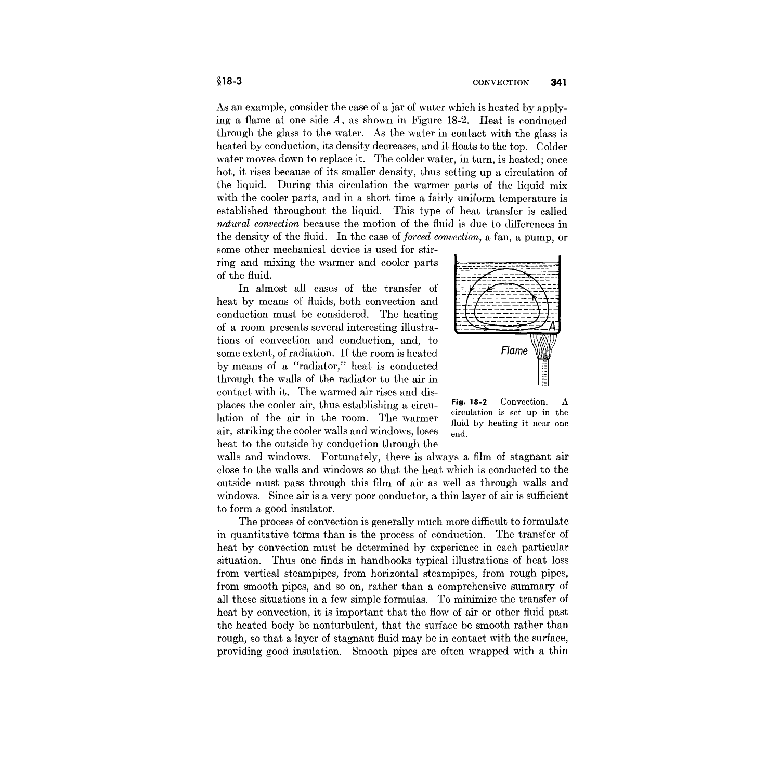As an example, consider the case of a jar of water which is heated by applying a flame at one side  $A$ , as shown in Figure 18-2. Heat is conducted through the glass to the water. As the water in contact with the glass is heated by conduction, its density decreases, and it floats to the top. Colder water moves down to replace it. The colder water, in turn, is heated; once hot, it rises because of its smaller density, thus setting up a circulation of the liquid. During this circulation the warmer parts of the liquid mix with the cooler parts, and in a short time a fairly uniform temperature is established throughout the liquid. This type of heat transfer is called *natural convection* because the motion of the fluid is due to differences in the density of the fluid. In the case of *forced convection,* a fan, a pump, or

some other mechanical device is used for stirring and mixing the warmer and cooler parts of the fluid.

In almost all cases of the transfer of heat by means of fluids, both convection and conduction must be considered. The heating of a room presents several interesting illustrations of convection and conduction, and, to some extent, of radiation. If the room is heated by means of a "radiator," heat is conducted through the walls of the radiator to the air in contact with it. The warmed air rises and displaces the cooler air, thus establishing a circulation of the air in the room. The warmer air, striking the cooler walls and windows, loses heat to the outside by conduction through the Flame

Fig. 18-2 Convection. A circulation is set up in the fluid by heating it near one end.

walls and windows. Fortunately, there is always a film of stagnant air close to the walls and windows so that the heat which is conducted to the outside must pass through this film of air as well as through walls and windows. Since air is a very poor conductor, a thin layer of air is sufficient to form a good insulator.

The process of convection is generally much more difficult to formulate in quantitative terms than is the process of conduction. The transfer of heat by convection must be determined by experience in each particular situation. Thus one finds in handbooks typical illustrations of heat loss from vertical steampipes, from horizontal steampipes, from rough pipes, from smooth pipes, and so on, rather than a comprehensive summary of all these situations in a few simple formulas. To minimize the transfer of heat by convection, it is important that the flow of air or other fluid past the heated body be nonturbulent, that the surface be smooth rather than rough, so that a layer of stagnant fluid may be in contact with the surface, providing good insulation. Smooth pipes are often wrapped with a thin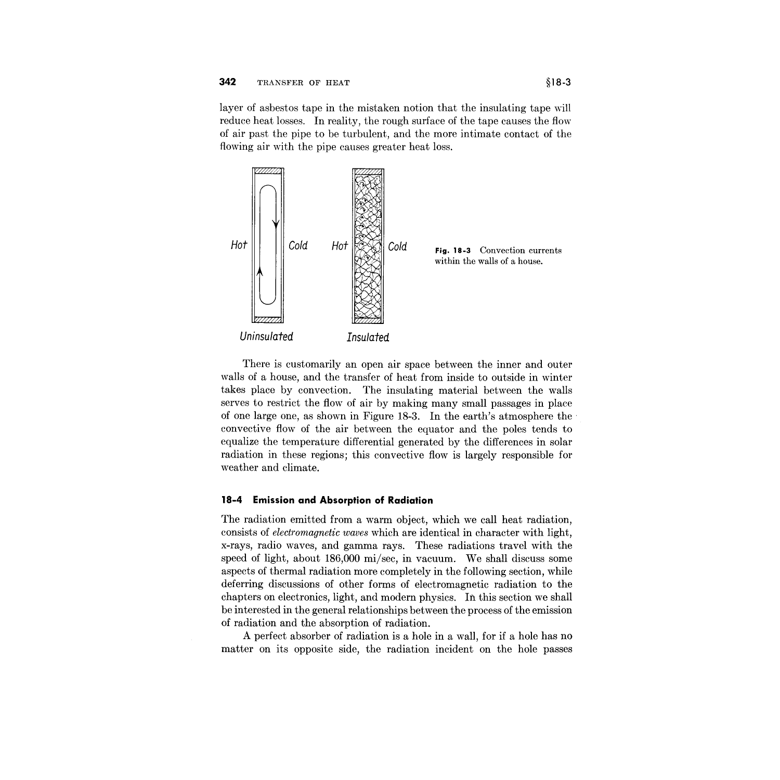layer of asbestos tape in the mistaken notion that the insulating tape will reduce heat losses. In reality, the rough surface of the tape causes the flow of air past the pipe to be turbulent, and the more intimate contact of the flowing air with the pipe causes greater heat loss.



There is customarily an open air space between the inner and outer walls of a house, and the transfer of heat from inside to outside in winter takes place by convection. The insulating material between the walls serves to restrict the flow of air by making many small passages in place of one large one, as shown in Figure 18-3. In the earth's atmosphere the· convective flow of the air between the equator and the poles tends to equalize the temperature differential generated by the differences in solar radiation in these regions; this convective flow is largely responsible for weather and climate.

### **18-4 Emission and Absorption of Radiation**

The radiation emitted from a warm object, which we call heat radiation, consists of *electromagnetic waves* which are identical in character with light, x-rays, radio waves, and gamma rays. These radiations travel with the speed of light, about 186,000 mi/sec, in vacuum. We shall discuss some aspects of thermal radiation more completely in the following section, while deferring discussions of other forms of electromagnetic radiation to the chapters on electronics, light, and modern physics. In this section we shall be interested in the general relationships between the process of the emission of radiation and the absorption of radiation.

A perfect absorber of radiation is a hole in a wall, for if a hole has no matter on its opposite side, the radiation incident on the hole passes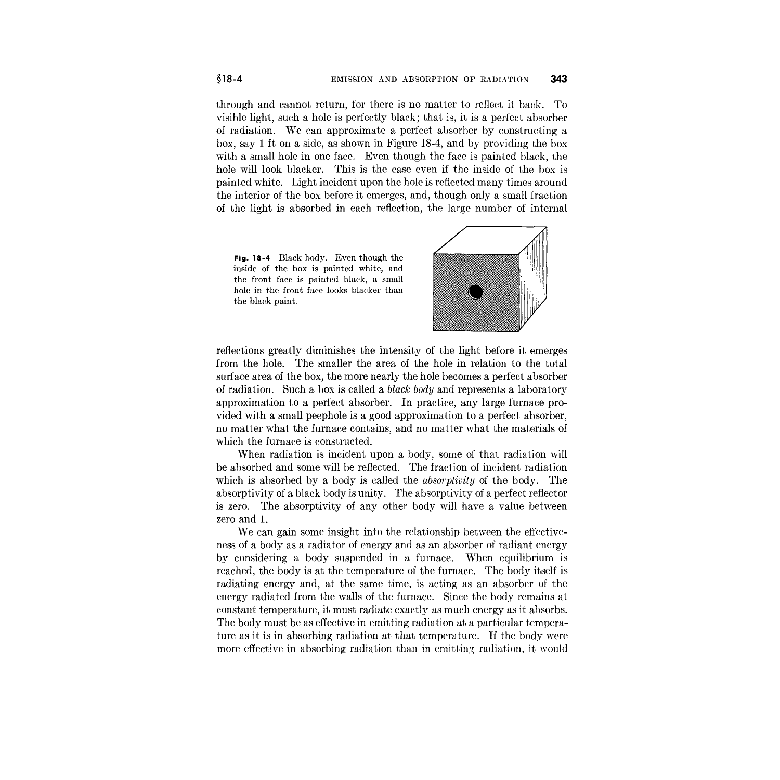through and cannot return, for there is no matter to reflect it back. To visible light, such a hole is perfectly black; that is, it is a perfect absorber of radiation. We can approximate a perfect absorber by constructing a box, say 1 ft on a side, as shown in Figure 18-4, and by providing the box with a small hole in one face. Even though the face is painted black, the hole will look blacker. This is the case even if the inside of the box is painted white. Light incident upon the hole is reflected many times around the interior of the box before it emerges, and, though only a small fraction of the light is absorbed in each reflection, the large number of internal

**Fig. 18-4** Black body. Even though the inside of the box is painted white, and the front face is painted black, a small hole in the front face looks blacker than the black paint.



reflections greatly diminishes the intensity of the light before it emerges from the hole. The smaller the area of the hole in relation to the total surface area of the box, the more nearly the hole becomes a perfect absorber of radiation. Such a box is called a *black body* and represents a laboratory approximation to a perfect absorber. In practice, any large furnace provided with a small peephole is a good approximation to a perfect absorber, no matter what the furnace contains, and no matter what the materials of which the furnace is constructed.

When radiation is incident upon a body, some of that radiation will be absorbed and some will be reflected. The fraction of incident radiation which is absorbed by a body is called the *absorptivity* of the body. The absorptivity of a black body is unity. The absorptivity of a perfect reflector is zero. The absorptivity of any other body will have a value between zero and 1.

We can gain some insight into the relationship between the effectiveness of a body as a radiator of energy and as an absorber of radiant energy by considering a body suspended in a furnace. When equilibrium is reached, the body is at the temperature of the furnace. The body itself is radiating energy and, at the same time, is acting as an absorber of the energy radiated from the walls of the furnace. Since the body remains at constant temperature, it must radiate exactly as much energy as it absorbs. The body must be as effective in emitting radiation at a particular temperature as it is in absorbing radiation at that temperature. If the body were more effective in absorbing radiation than in emitting radiation, it would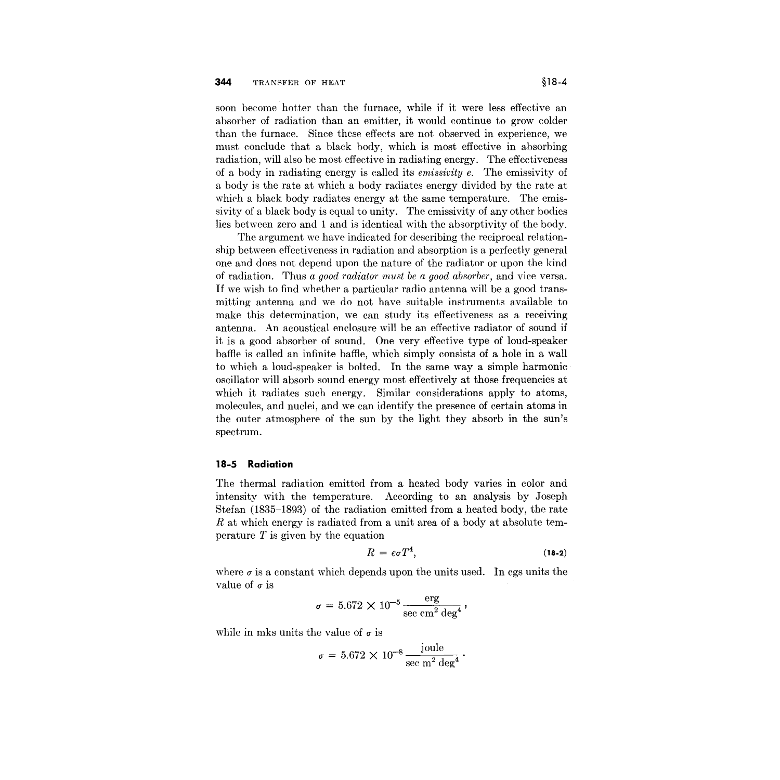soon become hotter than the furnace, while if it were less effective an absorber of radiation than an emitter, it would continue to grow colder than the furnace. Since these effects are not observed in experience, we must conclude that a black body, which is most effective in absorbing radiation, will also be most effective in radiating energy. The effectiveness of a body in radiating energy is called its *emissivity e.* The emissivity of a body is the rate at which a body radiates energy divided by the rate at whirh a black body radiates energy at the same temperature. The emissivity of a black body is equal to unity. The emissivity of any other bodies lies between zero and 1 and is identical with the absorptivity of the body.

The argument we have indicated for describing the reciprocal relationship between effectiveness in radiation and absorption is a perfectly general one and does not depend upon the nature of the radiator or upon the kind of radiation. Thus *a good radiator must be a good absorber,* and vice versa. If we wish to find whether a particular radio antenna will be a good transmitting antenna and we do not have suitable instruments available to make this determination, we can study its effectiveness as a receiving antenna. An acoustical enclosure will be an effective radiator of sound if it is a good absorber of sound. One very effective type of loud-speaker baffle is called an infinite baffle, which simply consists of a hole in a wall to which a loud-speaker is bolted. In the same way a simple harmonic oscillator will absorb sound energy most effectively at those frequencies at which it radiates such energy. Similar considerations apply to atoms, molecules, and nuclei, and we can identify the presence of certain atoms in the outer atmosphere of the sun by the light they absorb in the sun's spectrum.

### **18-5 Radiation**

The thermal radiation emitted from a heated body varies in color and intensity with the temperature. According to an analysis by Joseph Stefan (1835-1893) of the radiation emitted from a heated body, the rate *R* at which energy is radiated from a unit area of a body at absolute temperature  $T$  is given by the equation

$$
R = e\sigma T^4, \tag{18-2}
$$

where  $\sigma$  is a constant which depends upon the units used. In cgs units the value of  $\sigma$  is

$$
\sigma = 5.672 \times 10^{-5} \frac{\text{erg}}{\text{sec cm}^2 \text{ deg}^4},
$$

while in mks units the value of  $\sigma$  is

$$
\sigma = 5.672 \times 10^{-8} \frac{\text{joule}}{\text{sec m}^2 \text{ deg}^4} \, \cdot
$$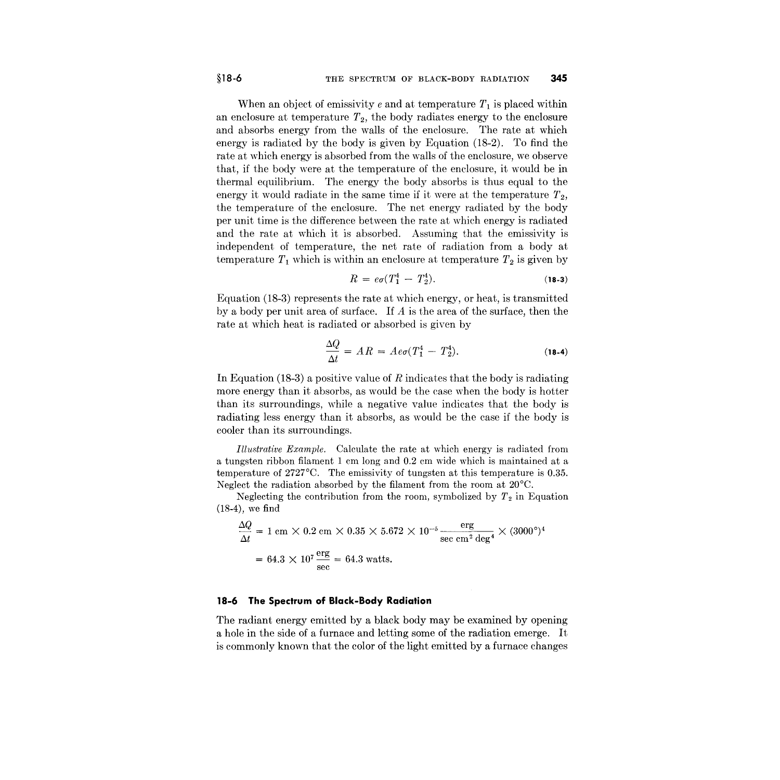When an object of emissivity  $e$  and at temperature  $T_1$  is placed within an enclosure at temperature  $T_2$ , the body radiates energy to the enclosure and absorbs energy from the walls of the enclosure. The rate at which energy is radiated by the body is given by Equation (18-2). To find the rate at which energy is absorbed from the walls of the enclosure, we observe that, if the body were at the temperature of the enclosure, it would be in thermal equilibrium. The energy the body absorbs is thus equal to the energy it would radiate in the same time if it were at the temperature T*<sup>2</sup> ,* the temperature of the enclosure. The net energy radiated by the body per unit time is the difference between the rate at which energy is radiated and the rate at which it is absorbed. Assuming that the emissivity is independent of temperature, the net rate of radiation from a body at temperature  $T_1$  which is within an enclosure at temperature  $T_2$  is given by

$$
R = e\sigma (T_1^4 - T_2^4). \tag{18-3}
$$

Equation (18-3) represents the rate at which energy, or heat, is transmitted by a body per unit area of surface. If *A* is the area of the surface, then the rate at which heat is radiated or absorbed is given by

$$
\frac{\Delta Q}{\Delta t} = AR = Ae\sigma (T_1^4 - T_2^4). \tag{18-4}
$$

In Equation (18-3) a positive value of *R* indicates that the body is radiating more energy than it absorbs, as would be the case when the body is hotter than its surroundings, while a negative value indicates that the body is radiating less energy than it absorbs, as would be the case if the body is cooler than its surroundings.

*Illustrative Example.* Calculate the rate at which energy is radiated from a tungsten ribbon filament 1 em long and 0.2 em wide which is maintained at a temperature of 2727°C. The emissivity of tungsten at this temperature is 0.35. Neglect the radiation absorbed by the filament from the room at 20°C.

Neglecting the contribution from the room, symbolized by  $T_2$  in Equation (18-4), we find

$$
\frac{\Delta Q}{\Delta t} = 1 \text{ cm} \times 0.2 \text{ cm} \times 0.35 \times 5.672 \times 10^{-5} \frac{\text{erg}}{\text{sec cm}^2 \text{ deg}^4} \times (3000^{\circ})^4
$$

$$
= 64.3 \times 10^7 \frac{\text{erg}}{\text{sec}} = 64.3 \text{ watts.}
$$

#### **18-6 The Spectrum of Black-Body Radiation**

The radiant energy emitted by a black body may be examined by opening a hole in the side of a furnace and letting some of the radiation emerge. It is commonly known that the color of the light emitted by a furnace changes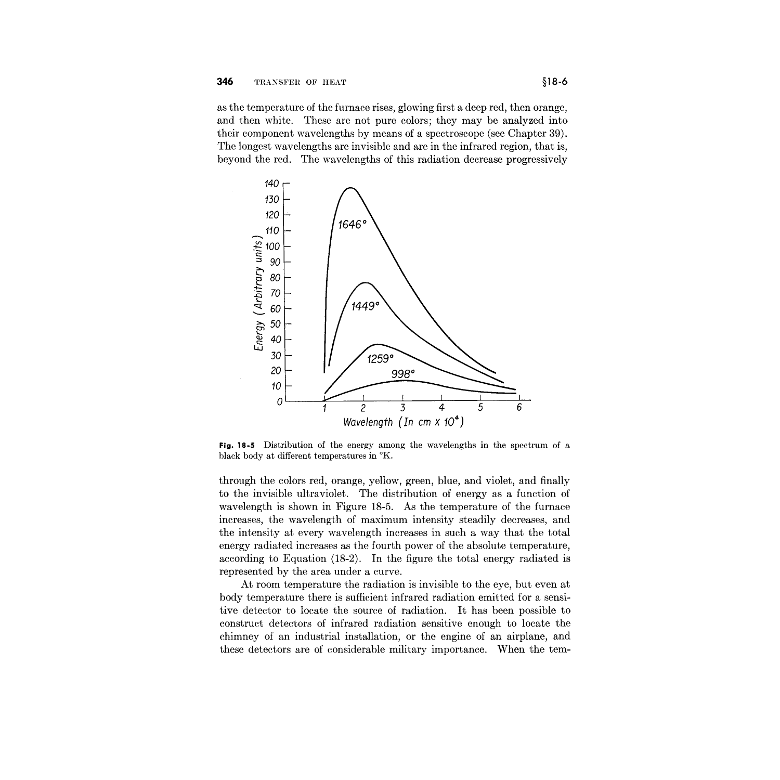as the temperature of the furnace rises, glowing first a deep red, then orange, and then white. These are not pure colors; they may be analyzed into their component wavelengths by means of a spectroscope (see Chapter 39). The longest wavelengths are invisible and are in the infrared region, that is, beyond the red. The wavelengths of this radiation decrease progressively



**Fig. 18-5** Distribution of the energy among the wavelengths in the spectrum of a black body at different temperatures in  $K$ .

through the colors red, orange, yellow, green, blue, and violet, and finally to the invisible ultraviolet. The distribution of energy as a function of wavelength is shown in Figure 18-5. As the temperature of the furnace increases, the wavelength of maximum intensity steadily decreases, and the intensity at every wavelength increases in such a way that the total energy radiated increases as the fourth power of the absolute temperature, according to Equation (18-2). **In** the figure the total energy radiated is represented by the area under a curve.

At room temperature the radiation is invisible to the eye, but even at body temperature there is sufficient infrared radiation emitted for a sensitive detector to locate the source of radiation. It has been possible to construct detectors of infrared radiation sensitive enough to locate the chimney of an industrial installation, or the engine of an airplane, and these detectors are of considerable military importance. When the tem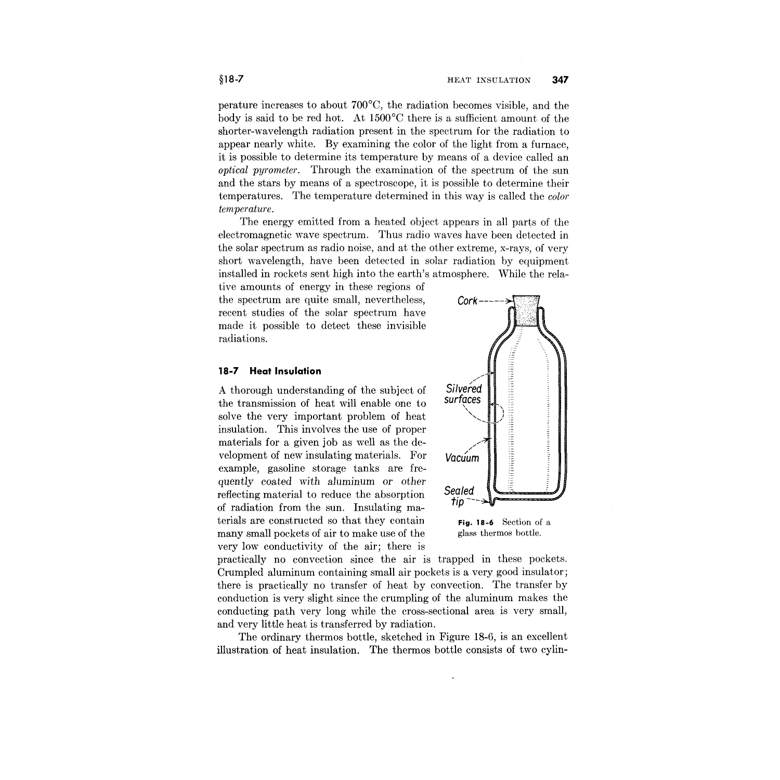perature increases to about 700°C, the radiation becomes visible, and the body is said to be red hot. At 1500°C there is a sufficient amount of the shorter-wavelength radiation present in the spectrum for the radiation to appear nearly white. By examining the color of the light from a furnace, it is possible to determine its temperature by means of a device called an *optical pyrometer.* Through the examination of the spectrum of the sun and the stars by means of a spectroscope, it is possible to determine their temperatures. The temperature determined in this way is called the *color temperature.*

The energy emitted from a heated object appears in all parts of the electromagnetic wave spectrum. Thus radio waves have been detected in the solar spectrum as radio noise, and at the other extreme, x-rays, of very short wavelength, have been detected in solar radiation by equipment installed in rockets sent high into the earth's atmosphere. While the rela-

tive amounts of energy in these regions of the spectrum are quite small, nevertheless, recent studies of the solar spectrum have made it possible to detect these invisible radiations.

#### **18-7 Heat Insulation**

A thorough understanding of the subject of the transmission of heat will enable one to solve the very important problem of heat insulation. This involves the use of proper materials for a given job as well as the development of new insulating materials. For example, gasoline storage tanks are frequently coated with *aluminum* or other reflecting material to reduce the absorption of radiation from the sun. Insulating materials are constructed so that they contain many small pockets of air to make use of the very low conductivity of the air; there is



glass thermos bottle.

practically no convection since the air is trapped in these pockets. Crumpled aluminum containing small air pockets is a very good insulator; there is practically no transfer of heat by convection. The transfer by conduction is very slight since the crumpling of the aluminum makes the conducting path very long while the cross-sectional area is very small, and very little heat is transferred by radiation.

The ordinary thermos bottle, sketched in Figure 18-6, is an excellent illustration of heat insulation. The thermos bottle consists of two cylin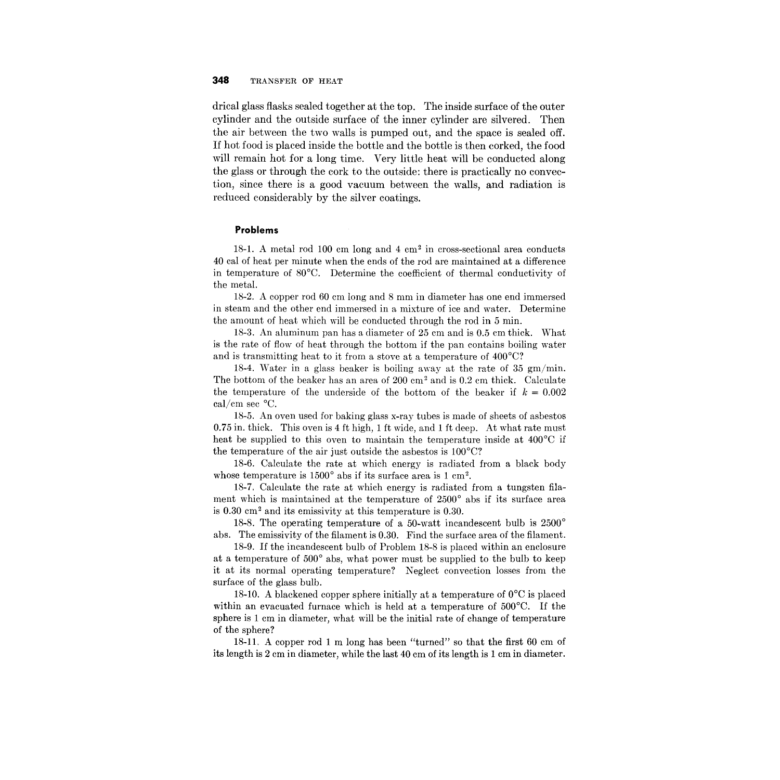drical glass flasks sealed together at the top. The inside surface of the outer cylinder and the outside surface of the inner cylinder are silvered. Then the air between the two walls is pumped out, and the space is sealed off. If hot food is placed inside the bottle and the bottle is then corked, the food will remain hot for a long time. Very little heat will be conducted along the glass or through the cork to the outside: there is practically no convection, since there is a good vacuum between the walls, and radiation is reduced considerably by the silver coatings.

### **Problems**

18-1. A metal rod 100 cm long and 4 cm2 in cross-sectional area conducts 40 cal of heat per minute when the ends of the rod are maintained at a difference in temperature of 80°C. Determine the coefficient of thermal conductivity of the metal.

18-2. A copper rod 60 cm long and 8 mm in diameter has one end immersed in steam and the other end immersed in a mixture of ice and water. Determine the amount of heat which will be conducted through the rod in 5 min.

18-3. An aluminum pan has a diameter of 25 cm and is 0.5 cm thick. What is the rate of flow of heat through the bottom if the pan contains boiling water and is transmitting heat to it from a stove at a temperature of 400°C?

18-4. Water in a glass beaker is boiling away at the rate of 35 gm/min. The bottom of the beaker has an area of  $200 \text{ cm}^2$  and is 0.2 cm thick. Calculate the temperature of the underside of the bottom of the beaker if  $k = 0.002$ caI/cm sec °C.

18-5. An oven used for baking glass x-ray tubes is made of sheets of asbestos 0.75 in. thick. This oven is 4 ft high, 1 ft wide, and 1 ft deep. At what rate must heat be supplied to this oven to maintain the temperature inside at 400<sup>°</sup>C if the temperature of the air just outside the asbestos is  $100^{\circ}$ C?

18-6. Calculate the rate at which energy is radiated from a black body whose temperature is  $1500^{\circ}$  abs if its surface area is 1 cm<sup>2</sup>.

18-7. Calculate the rate at which energy is radiated from a tungsten filament which is maintained at the temperature of 2500° abs if its surface area is 0.30 cm2 and its emissivity at this temperature is 0.30.

18-8. The operating temperature of a 50-watt incandescent bulb is 2500° abs. The emissivity of the filament is 0.30. Find the surface area of the filament.

18-9. If the incandescent bulb of Problem 18-8 is placed within an enclosure at a temperature of 500° abs, what power must be supplied to the bulb to keep it at its normal operating temperature? Neglect convection losses from the surface of the glass bulb.

18-10. A blackened copper sphere initially at a temperature of  $0^{\circ}$ C is placed within an evacuated furnace which is held at a temperature of 500°C. If the sphere is 1 cm in diameter, what will be the initial rate of change of temperature of the sphere?

18-lL A copper rod 1 m long has been "turned" so that the first 60 cm of its length is 2 cm in diameter, while the last 40 cm of its length is 1 cm in diameter.